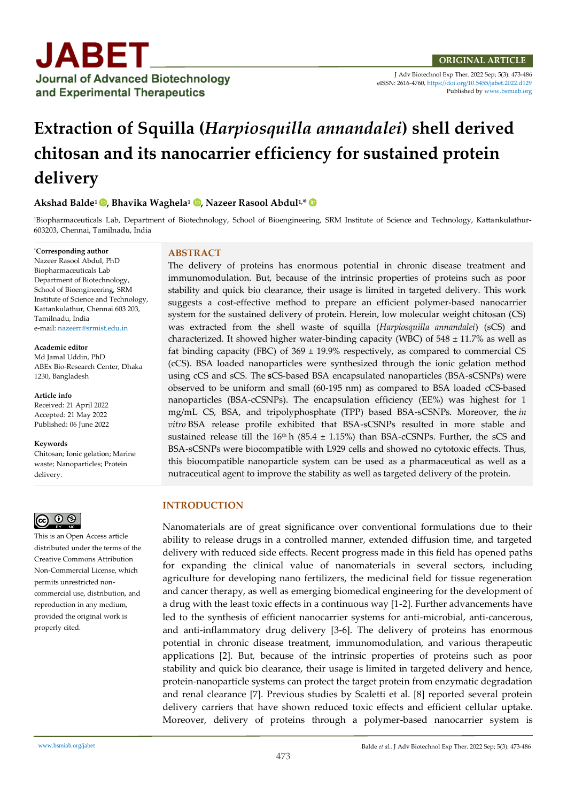

J Adv Biotechnol Exp Ther. 2022 Sep; 5(3): 473-486 eISSN: 2616-4760[, https://doi.org/10.5455/jabet.2022.d129](https://doi.org/10.5455/jabet.2022.d129)  Published b[y www.bsmiab.org](http://www.bsmiab.org/)

# **Extraction of Squilla (***Harpiosquilla annandalei***) shell derived chitosan and its nanocarrier efficiency for sustained protein delivery**

# **Akshad Balde<sup>1</sup> , Bhavika Waghela<sup>1</sup> , Nazeer Rasool Abdul1,\***

1Biopharmaceuticals Lab, Department of Biotechnology, School of Bioengineering, SRM Institute of Science and Technology, Kattankulathur-603203, Chennai, Tamilnadu, India

# \***Corresponding author**

Nazeer Rasool Abdul, PhD Biopharmaceuticals Lab Department of Biotechnology, School of Bioengineering, SRM Institute of Science and Technology, Kattankulathur, Chennai 603 203, Tamilnadu, India e-mail[: nazeerr@srmist.edu.in](mailto:nazeerr@srmist.edu.in)

#### **Academic editor**

Md Jamal Uddin, PhD ABEx Bio-Research Center, Dhaka 1230, Bangladesh

**Article info** Received: 21 April 2022 Accepted: 21 May 2022 Published: 06 June 2022

#### **Keywords**

Chitosan; Ionic gelation; Marine waste; Nanoparticles; Protein delivery.



This is an Open Access article distributed under the terms of the Creative Commons Attribution Non-Commercial License, which permits unrestricted noncommercial use, distribution, and reproduction in any medium, provided the original work is properly cited.

### **ABSTRACT**

The delivery of proteins has enormous potential in chronic disease treatment and immunomodulation. But, because of the intrinsic properties of proteins such as poor stability and quick bio clearance, their usage is limited in targeted delivery. This work suggests a cost-effective method to prepare an efficient polymer-based nanocarrier system for the sustained delivery of protein. Herein, low molecular weight chitosan (CS) was extracted from the shell waste of squilla (*Harpiosquilla annandalei*) (sCS) and characterized. It showed higher water-binding capacity (WBC) of  $548 \pm 11.7\%$  as well as fat binding capacity (FBC) of  $369 \pm 19.9\%$  respectively, as compared to commercial CS (cCS). BSA loaded nanoparticles were synthesized through the ionic gelation method using cCS and sCS. The **s**CS-based BSA encapsulated nanoparticles (BSA-sCSNPs) were observed to be uniform and small (60-195 nm) as compared to BSA loaded cCS-based nanoparticles (BSA-cCSNPs). The encapsulation efficiency (EE%) was highest for 1 mg/mL CS, BSA, and tripolyphosphate (TPP) based BSA-sCSNPs. Moreover, the *in vitro* BSA release profile exhibited that BSA-sCSNPs resulted in more stable and sustained release till the 16<sup>th</sup> h (85.4  $\pm$  1.15%) than BSA-cCSNPs. Further, the sCS and BSA-sCSNPs were biocompatible with L929 cells and showed no cytotoxic effects. Thus, this biocompatible nanoparticle system can be used as a pharmaceutical as well as a nutraceutical agent to improve the stability as well as targeted delivery of the protein.

# **INTRODUCTION**

Nanomaterials are of great significance over conventional formulations due to their ability to release drugs in a controlled manner, extended diffusion time, and targeted delivery with reduced side effects. Recent progress made in this field has opened paths for expanding the clinical value of nanomaterials in several sectors, including agriculture for developing nano fertilizers, the medicinal field for tissue regeneration and cancer therapy, as well as emerging biomedical engineering for the development of a drug with the least toxic effects in a continuous way [1-2]. Further advancements have led to the synthesis of efficient nanocarrier systems for anti-microbial, anti-cancerous, and anti-inflammatory drug delivery [3-6]. The delivery of proteins has enormous potential in chronic disease treatment, immunomodulation, and various therapeutic applications [2]. But, because of the intrinsic properties of proteins such as poor stability and quick bio clearance, their usage is limited in targeted delivery and hence, protein-nanoparticle systems can protect the target protein from enzymatic degradation and renal clearance [7]. Previous studies by Scaletti et al. [8] reported several protein delivery carriers that have shown reduced toxic effects and efficient cellular uptake. Moreover, delivery of proteins through a polymer-based nanocarrier system is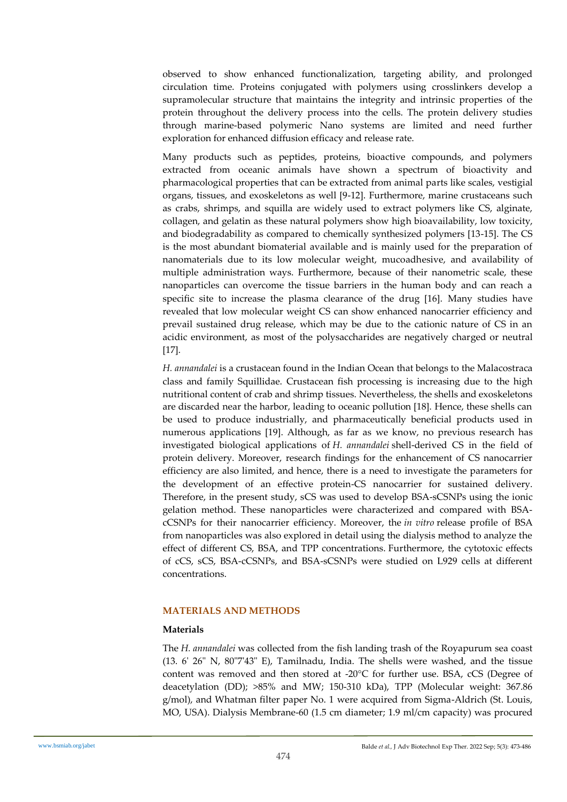observed to show enhanced functionalization, targeting ability, and prolonged circulation time. Proteins conjugated with polymers using crosslinkers develop a supramolecular structure that maintains the integrity and intrinsic properties of the protein throughout the delivery process into the cells. The protein delivery studies through marine-based polymeric Nano systems are limited and need further exploration for enhanced diffusion efficacy and release rate.

Many products such as peptides, proteins, bioactive compounds, and polymers extracted from oceanic animals have shown a spectrum of bioactivity and pharmacological properties that can be extracted from animal parts like scales, vestigial organs, tissues, and exoskeletons as well [9-12]. Furthermore, marine crustaceans such as crabs, shrimps, and squilla are widely used to extract polymers like CS, alginate, collagen, and gelatin as these natural polymers show high bioavailability, low toxicity, and biodegradability as compared to chemically synthesized polymers [13-15]. The CS is the most abundant biomaterial available and is mainly used for the preparation of nanomaterials due to its low molecular weight, mucoadhesive, and availability of multiple administration ways. Furthermore, because of their nanometric scale, these nanoparticles can overcome the tissue barriers in the human body and can reach a specific site to increase the plasma clearance of the drug [16]. Many studies have revealed that low molecular weight CS can show enhanced nanocarrier efficiency and prevail sustained drug release, which may be due to the cationic nature of CS in an acidic environment, as most of the polysaccharides are negatively charged or neutral [17].

*H. annandalei* is a crustacean found in the Indian Ocean that belongs to the Malacostraca class and family Squillidae. Crustacean fish processing is increasing due to the high nutritional content of crab and shrimp tissues. Nevertheless, the shells and exoskeletons are discarded near the harbor, leading to oceanic pollution [18]. Hence, these shells can be used to produce industrially, and pharmaceutically beneficial products used in numerous applications [19]. Although, as far as we know, no previous research has investigated biological applications of *H. annandalei* shell-derived CS in the field of protein delivery. Moreover, research findings for the enhancement of CS nanocarrier efficiency are also limited, and hence, there is a need to investigate the parameters for the development of an effective protein-CS nanocarrier for sustained delivery. Therefore, in the present study, sCS was used to develop BSA-sCSNPs using the ionic gelation method. These nanoparticles were characterized and compared with BSAcCSNPs for their nanocarrier efficiency. Moreover, the *in vitro* release profile of BSA from nanoparticles was also explored in detail using the dialysis method to analyze the effect of different CS, BSA, and TPP concentrations. Furthermore, the cytotoxic effects of cCS, sCS, BSA-cCSNPs, and BSA-sCSNPs were studied on L929 cells at different concentrations.

# **MATERIALS AND METHODS**

# **Materials**

The *H. annandalei* was collected from the fish landing trash of the Royapurum sea coast (13. 6' 26" N, 80"7'43" E), Tamilnadu, India. The shells were washed, and the tissue content was removed and then stored at -20°C for further use. BSA, cCS (Degree of deacetylation (DD); >85% and MW; 150-310 kDa), TPP (Molecular weight: 367.86 g/mol), and Whatman filter paper No. 1 were acquired from Sigma-Aldrich (St. Louis, MO, USA). Dialysis Membrane-60 (1.5 cm diameter; 1.9 ml/cm capacity) was procured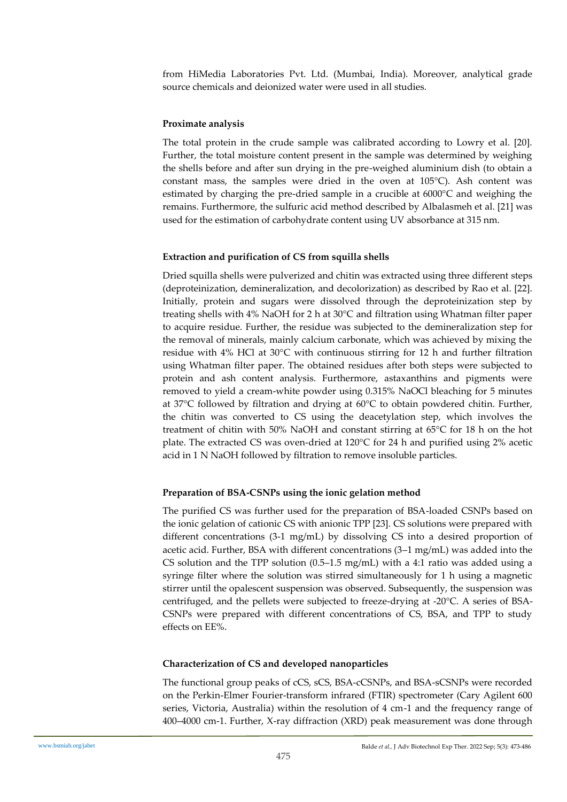from HiMedia Laboratories Pvt. Ltd. (Mumbai, India). Moreover, analytical grade source chemicals and deionized water were used in all studies.

# **Proximate analysis**

The total protein in the crude sample was calibrated according to Lowry et al. [20]. Further, the total moisture content present in the sample was determined by weighing the shells before and after sun drying in the pre-weighed aluminium dish (to obtain a constant mass, the samples were dried in the oven at 105°C). Ash content was estimated by charging the pre-dried sample in a crucible at 6000°C and weighing the remains. Furthermore, the sulfuric acid method described by Albalasmeh et al. [21] was used for the estimation of carbohydrate content using UV absorbance at 315 nm.

# **Extraction and purification of CS from squilla shells**

Dried squilla shells were pulverized and chitin was extracted using three different steps (deproteinization, demineralization, and decolorization) as described by Rao et al. [22]. Initially, protein and sugars were dissolved through the deproteinization step by treating shells with 4% NaOH for 2 h at 30°C and filtration using Whatman filter paper to acquire residue. Further, the residue was subjected to the demineralization step for the removal of minerals, mainly calcium carbonate, which was achieved by mixing the residue with 4% HCl at 30°C with continuous stirring for 12 h and further filtration using Whatman filter paper. The obtained residues after both steps were subjected to protein and ash content analysis. Furthermore, astaxanthins and pigments were removed to yield a cream-white powder using 0.315% NaOCl bleaching for 5 minutes at 37°C followed by filtration and drying at 60°C to obtain powdered chitin. Further, the chitin was converted to CS using the deacetylation step, which involves the treatment of chitin with 50% NaOH and constant stirring at 65°C for 18 h on the hot plate. The extracted CS was oven-dried at 120°C for 24 h and purified using 2% acetic acid in 1 N NaOH followed by filtration to remove insoluble particles.

# **Preparation of BSA-CSNPs using the ionic gelation method**

The purified CS was further used for the preparation of BSA-loaded CSNPs based on the ionic gelation of cationic CS with anionic TPP [23]. CS solutions were prepared with different concentrations (3-1 mg/mL) by dissolving CS into a desired proportion of acetic acid. Further, BSA with different concentrations (3–1 mg/mL) was added into the CS solution and the TPP solution  $(0.5-1.5 \text{ mg/mL})$  with a 4:1 ratio was added using a syringe filter where the solution was stirred simultaneously for 1 h using a magnetic stirrer until the opalescent suspension was observed. Subsequently, the suspension was centrifuged, and the pellets were subjected to freeze-drying at -20°C. A series of BSA-CSNPs were prepared with different concentrations of CS, BSA, and TPP to study effects on EE%.

# **Characterization of CS and developed nanoparticles**

The functional group peaks of cCS, sCS, BSA-cCSNPs, and BSA-sCSNPs were recorded on the Perkin-Elmer Fourier-transform infrared (FTIR) spectrometer (Cary Agilent 600 series, Victoria, Australia) within the resolution of 4 cm-1 and the frequency range of 400–4000 cm-1. Further, X-ray diffraction (XRD) peak measurement was done through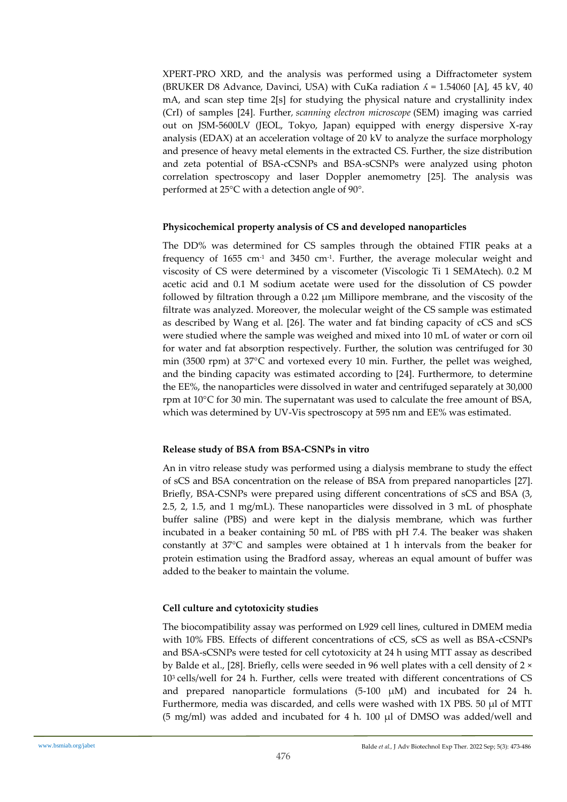XPERT-PRO XRD, and the analysis was performed using a Diffractometer system (BRUKER D8 Advance, Davinci, USA) with CuKa radiation  $\Lambda = 1.54060$  [A], 45 kV, 40 mA, and scan step time 2[s] for studying the physical nature and crystallinity index (CrI) of samples [24]. Further*, scanning electron microscope* (SEM) imaging was carried out on JSM-5600LV (JEOL, Tokyo, Japan) equipped with energy dispersive X-ray analysis (EDAX) at an acceleration voltage of 20 kV to analyze the surface morphology and presence of heavy metal elements in the extracted CS. Further, the size distribution and zeta potential of BSA-cCSNPs and BSA-sCSNPs were analyzed using photon correlation spectroscopy and laser Doppler anemometry [25]. The analysis was performed at 25°C with a detection angle of 90°.

# **Physicochemical property analysis of CS and developed nanoparticles**

The DD% was determined for CS samples through the obtained FTIR peaks at a frequency of 1655 cm-1 and 3450 cm-1 . Further, the average molecular weight and viscosity of CS were determined by a viscometer (Viscologic Ti 1 SEMAtech). 0.2 M acetic acid and 0.1 M sodium acetate were used for the dissolution of CS powder followed by filtration through a 0.22 μm Millipore membrane, and the viscosity of the filtrate was analyzed. Moreover, the molecular weight of the CS sample was estimated as described by Wang et al. [26]. The water and fat binding capacity of cCS and sCS were studied where the sample was weighed and mixed into 10 mL of water or corn oil for water and fat absorption respectively. Further, the solution was centrifuged for 30 min (3500 rpm) at 37°C and vortexed every 10 min. Further, the pellet was weighed, and the binding capacity was estimated according to [24]. Furthermore, to determine the EE%, the nanoparticles were dissolved in water and centrifuged separately at 30,000 rpm at 10°C for 30 min. The supernatant was used to calculate the free amount of BSA, which was determined by UV-Vis spectroscopy at 595 nm and EE% was estimated.

# **Release study of BSA from BSA-CSNPs in vitro**

An in vitro release study was performed using a dialysis membrane to study the effect of sCS and BSA concentration on the release of BSA from prepared nanoparticles [27]. Briefly, BSA-CSNPs were prepared using different concentrations of sCS and BSA (3, 2.5, 2, 1.5, and 1 mg/mL). These nanoparticles were dissolved in 3 mL of phosphate buffer saline (PBS) and were kept in the dialysis membrane, which was further incubated in a beaker containing 50 mL of PBS with pH 7.4. The beaker was shaken constantly at 37°C and samples were obtained at 1 h intervals from the beaker for protein estimation using the Bradford assay, whereas an equal amount of buffer was added to the beaker to maintain the volume.

# **Cell culture and cytotoxicity studies**

The biocompatibility assay was performed on L929 cell lines, cultured in DMEM media with 10% FBS. Effects of different concentrations of cCS, sCS as well as BSA-cCSNPs and BSA-sCSNPs were tested for cell cytotoxicity at 24 h using MTT assay as described by Balde et al., [28]. Briefly, cells were seeded in 96 well plates with a cell density of 2 × 103 cells/well for 24 h. Further, cells were treated with different concentrations of CS and prepared nanoparticle formulations  $(5-100 \mu M)$  and incubated for 24 h. Furthermore, media was discarded, and cells were washed with 1X PBS. 50 µl of MTT (5 mg/ml) was added and incubated for 4 h. 100 μl of DMSO was added/well and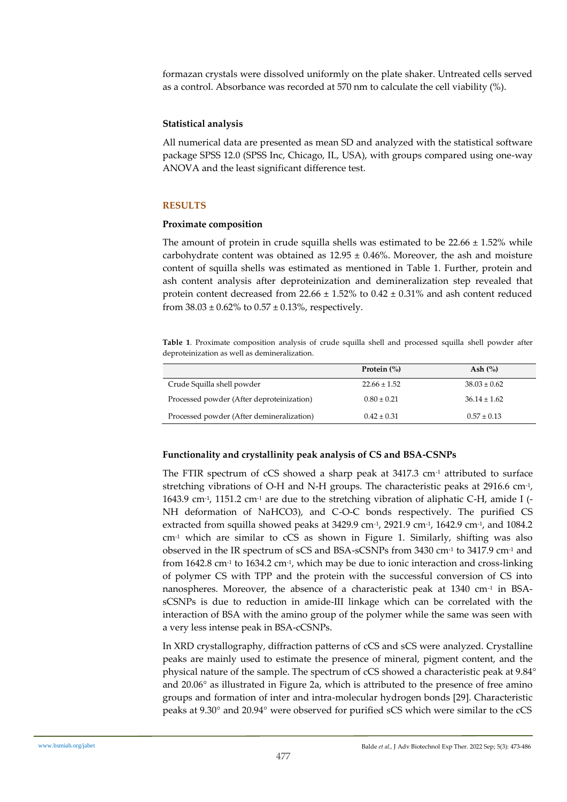formazan crystals were dissolved uniformly on the plate shaker. Untreated cells served as a control. Absorbance was recorded at 570 nm to calculate the cell viability (%).

# **Statistical analysis**

All numerical data are presented as mean SD and analyzed with the statistical software package SPSS 12.0 (SPSS Inc, Chicago, IL, USA), with groups compared using one-way ANOVA and the least significant difference test.

# **RESULTS**

# **Proximate composition**

The amount of protein in crude squilla shells was estimated to be  $22.66 \pm 1.52\%$  while carbohydrate content was obtained as  $12.95 \pm 0.46$ %. Moreover, the ash and moisture content of squilla shells was estimated as mentioned in Table 1. Further, protein and ash content analysis after deproteinization and demineralization step revealed that protein content decreased from  $22.66 \pm 1.52\%$  to  $0.42 \pm 0.31\%$  and ash content reduced from  $38.03 \pm 0.62\%$  to  $0.57 \pm 0.13\%$ , respectively.

**Table 1**. Proximate composition analysis of crude squilla shell and processed squilla shell powder after deproteinization as well as demineralization.

|                                           | Protein $(\%)$   | Ash $(\%)$       |
|-------------------------------------------|------------------|------------------|
| Crude Squilla shell powder                | $22.66 \pm 1.52$ | $38.03 \pm 0.62$ |
| Processed powder (After deproteinization) | $0.80 \pm 0.21$  | $36.14 \pm 1.62$ |
| Processed powder (After demineralization) | $0.42 \pm 0.31$  | $0.57 \pm 0.13$  |

# **Functionality and crystallinity peak analysis of CS and BSA-CSNPs**

The FTIR spectrum of cCS showed a sharp peak at 3417.3 cm<sup>-1</sup> attributed to surface stretching vibrations of O-H and N-H groups. The characteristic peaks at 2916.6 cm<sup>-1</sup>, 1643.9 cm<sup>-1</sup>, 1151.2 cm<sup>-1</sup> are due to the stretching vibration of aliphatic C-H, amide I (-NH deformation of NaHCO3), and C-O-C bonds respectively. The purified CS extracted from squilla showed peaks at 3429.9 cm<sup>-1</sup>, 2921.9 cm<sup>-1</sup>, 1642.9 cm<sup>-1</sup>, and 1084.2 cm-1 which are similar to cCS as shown in Figure 1. Similarly, shifting was also observed in the IR spectrum of sCS and BSA-sCSNPs from 3430  $cm<sup>-1</sup>$  to 3417.9  $cm<sup>-1</sup>$  and from 1642.8 cm<sup>-1</sup> to 1634.2 cm<sup>-1</sup>, which may be due to ionic interaction and cross-linking of polymer CS with TPP and the protein with the successful conversion of CS into nanospheres. Moreover, the absence of a characteristic peak at 1340 cm<sup>-1</sup> in BSAsCSNPs is due to reduction in amide-III linkage which can be correlated with the interaction of BSA with the amino group of the polymer while the same was seen with a very less intense peak in BSA-cCSNPs.

In XRD crystallography, diffraction patterns of cCS and sCS were analyzed. Crystalline peaks are mainly used to estimate the presence of mineral, pigment content, and the physical nature of the sample. The spectrum of cCS showed a characteristic peak at 9.84° and 20.06° as illustrated in Figure 2a, which is attributed to the presence of free amino groups and formation of inter and intra-molecular hydrogen bonds [29]. Characteristic peaks at 9.30° and 20.94° were observed for purified sCS which were similar to the cCS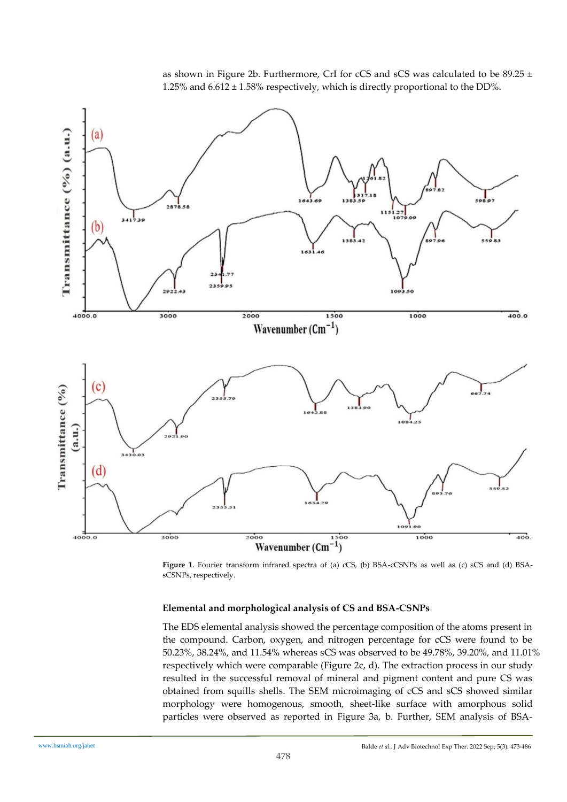as shown in Figure 2b. Furthermore, CrI for cCS and sCS was calculated to be 89.25 ± 1.25% and 6.612 ± 1.58% respectively, which is directly proportional to the DD%.



**Figure 1**. Fourier transform infrared spectra of (a) cCS, (b) BSA-cCSNPs as well as (c) sCS and (d) BSAsCSNPs, respectively.

# **Elemental and morphological analysis of CS and BSA-CSNPs**

The EDS elemental analysis showed the percentage composition of the atoms present in the compound. Carbon, oxygen, and nitrogen percentage for cCS were found to be 50.23%, 38.24%, and 11.54% whereas sCS was observed to be 49.78%, 39.20%, and 11.01% respectively which were comparable (Figure 2c, d). The extraction process in our study resulted in the successful removal of mineral and pigment content and pure CS was obtained from squills shells. The SEM microimaging of cCS and sCS showed similar morphology were homogenous, smooth, sheet-like surface with amorphous solid particles were observed as reported in Figure 3a, b. Further, SEM analysis of BSA-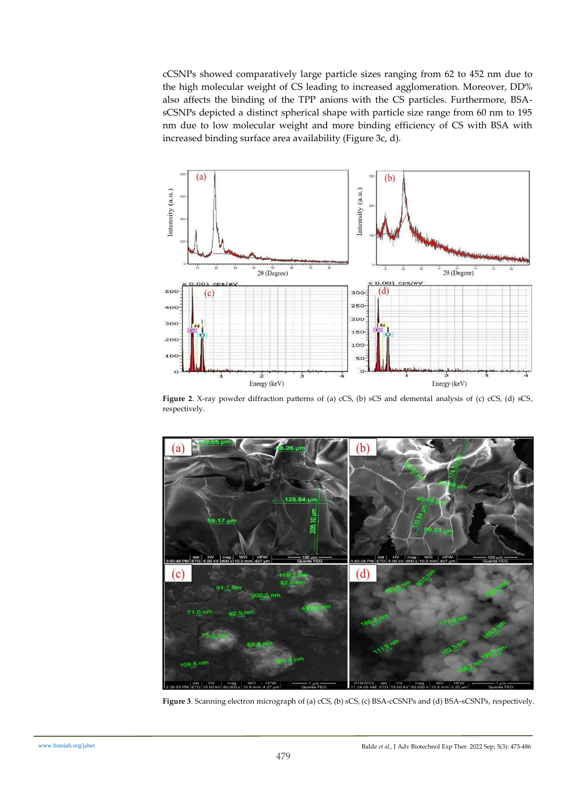cCSNPs showed comparatively large particle sizes ranging from 62 to 452 nm due to the high molecular weight of CS leading to increased agglomeration. Moreover, DD% also affects the binding of the TPP anions with the CS particles. Furthermore, BSAsCSNPs depicted a distinct spherical shape with particle size range from 60 nm to 195 nm due to low molecular weight and more binding efficiency of CS with BSA with increased binding surface area availability (Figure 3c, d).



**Figure 2**. X-ray powder diffraction patterns of (a) cCS, (b) sCS and elemental analysis of (c) cCS, (d) sCS, respectively.



**Figure 3**. Scanning electron micrograph of (a) cCS, (b) sCS, (c) BSA-cCSNPs and (d) BSA-sCSNPs, respectively.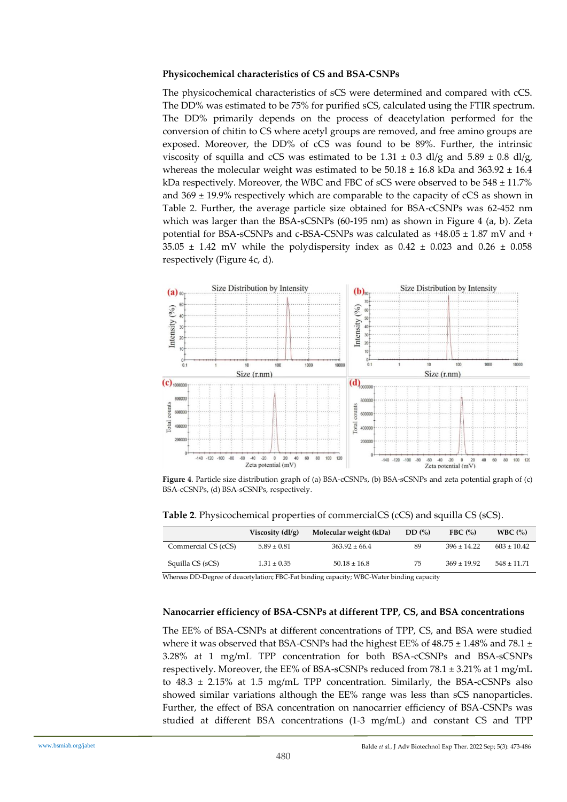#### **Physicochemical characteristics of CS and BSA-CSNPs**

The physicochemical characteristics of sCS were determined and compared with cCS. The DD% was estimated to be 75% for purified sCS, calculated using the FTIR spectrum. The DD% primarily depends on the process of deacetylation performed for the conversion of chitin to CS where acetyl groups are removed, and free amino groups are exposed. Moreover, the DD% of cCS was found to be 89%. Further, the intrinsic viscosity of squilla and cCS was estimated to be 1.31  $\pm$  0.3 dl/g and 5.89  $\pm$  0.8 dl/g, whereas the molecular weight was estimated to be  $50.18 \pm 16.8$  kDa and  $363.92 \pm 16.4$ kDa respectively. Moreover, the WBC and FBC of sCS were observed to be  $548 \pm 11.7\%$ and  $369 \pm 19.9\%$  respectively which are comparable to the capacity of cCS as shown in Table 2. Further, the average particle size obtained for BSA-cCSNPs was 62-452 nm which was larger than the BSA-sCSNPs (60-195 nm) as shown in Figure 4 (a, b). Zeta potential for BSA-sCSNPs and c-BSA-CSNPs was calculated as +48.05 ± 1.87 mV and +  $35.05 \pm 1.42$  mV while the polydispersity index as  $0.42 \pm 0.023$  and  $0.26 \pm 0.058$ respectively (Figure 4c, d).



**Figure 4**. Particle size distribution graph of (a) BSA-cCSNPs, (b) BSA-sCSNPs and zeta potential graph of (c) BSA-cCSNPs, (d) BSA-sCSNPs, respectively.

|                     | Viscosity $\left(\frac{dl}{g}\right)$ | Molecular weight (kDa) | DD(%) | FBC $(% )$      | WBC $(% )$      |
|---------------------|---------------------------------------|------------------------|-------|-----------------|-----------------|
| Commercial CS (cCS) | $5.89 \pm 0.81$                       | $363.92 \pm 66.4$      | 89    | $396 \pm 14.22$ | $603 \pm 10.42$ |
| Squilla CS (sCS)    | $1.31 \pm 0.35$                       | $50.18 \pm 16.8$       | 75    | $369 \pm 19.92$ | $548 \pm 11.71$ |

**Table 2**. Physicochemical properties of commercialCS (cCS) and squilla CS (sCS).

Whereas DD-Degree of deacetylation; FBC-Fat binding capacity; WBC-Water binding capacity

#### **Nanocarrier efficiency of BSA-CSNPs at different TPP, CS, and BSA concentrations**

The EE% of BSA-CSNPs at different concentrations of TPP, CS, and BSA were studied where it was observed that BSA-CSNPs had the highest EE% of  $48.75 \pm 1.48$ % and  $78.1 \pm$ 3.28% at 1 mg/mL TPP concentration for both BSA-cCSNPs and BSA-sCSNPs respectively. Moreover, the EE% of BSA-sCSNPs reduced from 78.1 ± 3.21% at 1 mg/mL to  $48.3 \pm 2.15\%$  at 1.5 mg/mL TPP concentration. Similarly, the BSA-cCSNPs also showed similar variations although the EE% range was less than sCS nanoparticles. Further, the effect of BSA concentration on nanocarrier efficiency of BSA-CSNPs was studied at different BSA concentrations (1-3 mg/mL) and constant CS and TPP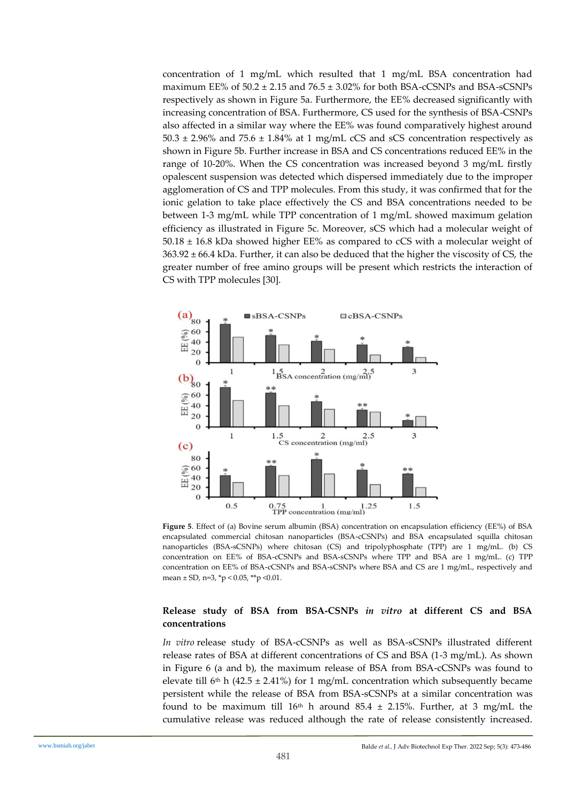concentration of 1 mg/mL which resulted that 1 mg/mL BSA concentration had maximum EE% of  $50.2 \pm 2.15$  and  $76.5 \pm 3.02$ % for both BSA-cCSNPs and BSA-sCSNPs respectively as shown in Figure 5a. Furthermore, the EE% decreased significantly with increasing concentration of BSA. Furthermore, CS used for the synthesis of BSA-CSNPs also affected in a similar way where the EE% was found comparatively highest around  $50.3 \pm 2.96\%$  and  $75.6 \pm 1.84\%$  at 1 mg/mL cCS and sCS concentration respectively as shown in Figure 5b. Further increase in BSA and CS concentrations reduced EE% in the range of 10-20%. When the CS concentration was increased beyond 3 mg/mL firstly opalescent suspension was detected which dispersed immediately due to the improper agglomeration of CS and TPP molecules. From this study, it was confirmed that for the ionic gelation to take place effectively the CS and BSA concentrations needed to be between 1-3 mg/mL while TPP concentration of 1 mg/mL showed maximum gelation efficiency as illustrated in Figure 5c. Moreover, sCS which had a molecular weight of  $50.18 \pm 16.8$  kDa showed higher EE% as compared to cCS with a molecular weight of  $363.92 \pm 66.4$  kDa. Further, it can also be deduced that the higher the viscosity of CS, the greater number of free amino groups will be present which restricts the interaction of CS with TPP molecules [30].



**Figure 5**. Effect of (a) Bovine serum albumin (BSA) concentration on encapsulation efficiency (EE%) of BSA encapsulated commercial chitosan nanoparticles (BSA-cCSNPs) and BSA encapsulated squilla chitosan nanoparticles (BSA-sCSNPs) where chitosan (CS) and tripolyphosphate (TPP) are 1 mg/mL. (b) CS concentration on EE% of BSA-cCSNPs and BSA-sCSNPs where TPP and BSA are 1 mg/mL. (c) TPP concentration on EE% of BSA-cCSNPs and BSA-sCSNPs where BSA and CS are 1 mg/mL, respectively and mean  $\pm$  SD, n=3, \*p < 0.05, \*\*p < 0.01.

# **Release study of BSA from BSA-CSNPs** *in vitro* **at different CS and BSA concentrations**

*In vitro* release study of BSA-cCSNPs as well as BSA-sCSNPs illustrated different release rates of BSA at different concentrations of CS and BSA (1-3 mg/mL). As shown in Figure 6 (a and b), the maximum release of BSA from BSA-cCSNPs was found to elevate till 6<sup>th</sup> h (42.5 ± 2.41%) for 1 mg/mL concentration which subsequently became persistent while the release of BSA from BSA-sCSNPs at a similar concentration was found to be maximum till 16<sup>th</sup> h around 85.4  $\pm$  2.15%. Further, at 3 mg/mL the cumulative release was reduced although the rate of release consistently increased.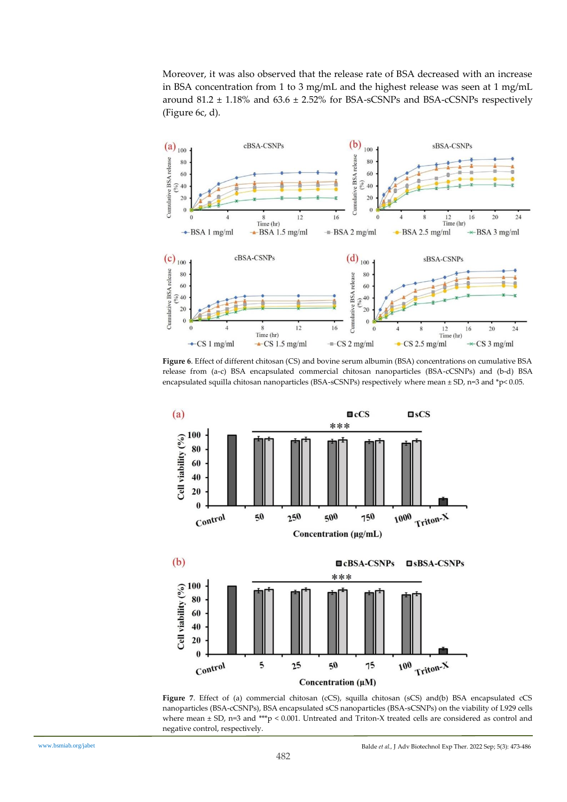Moreover, it was also observed that the release rate of BSA decreased with an increase in BSA concentration from 1 to 3 mg/mL and the highest release was seen at 1 mg/mL around  $81.2 \pm 1.18\%$  and  $63.6 \pm 2.52\%$  for BSA-sCSNPs and BSA-cCSNPs respectively (Figure 6c, d).



**Figure 6**. Effect of different chitosan (CS) and bovine serum albumin (BSA) concentrations on cumulative BSA release from (a-c) BSA encapsulated commercial chitosan nanoparticles (BSA-cCSNPs) and (b-d) BSA encapsulated squilla chitosan nanoparticles (BSA-sCSNPs) respectively where mean ± SD, n=3 and \*p< 0.05.



**Figure 7**. Effect of (a) commercial chitosan (cCS), squilla chitosan (sCS) and(b) BSA encapsulated cCS nanoparticles (BSA-cCSNPs), BSA encapsulated sCS nanoparticles (BSA-sCSNPs) on the viability of L929 cells where mean  $\pm$  SD, n=3 and \*\*\*p < 0.001. Untreated and Triton-X treated cells are considered as control and negative control, respectively.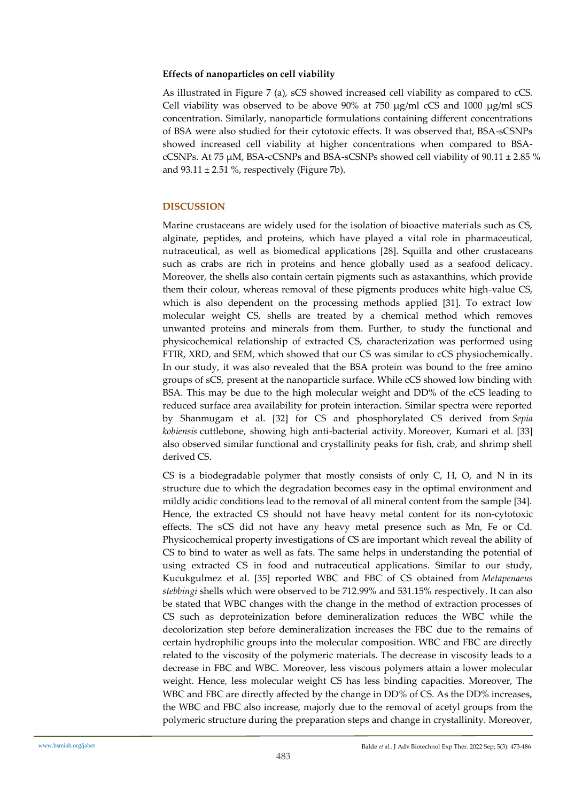## **Effects of nanoparticles on cell viability**

As illustrated in Figure 7 (a), sCS showed increased cell viability as compared to cCS. Cell viability was observed to be above 90% at 750  $\mu$ g/ml cCS and 1000  $\mu$ g/ml sCS concentration. Similarly, nanoparticle formulations containing different concentrations of BSA were also studied for their cytotoxic effects. It was observed that, BSA-sCSNPs showed increased cell viability at higher concentrations when compared to BSAcCSNPs. At 75  $\mu$ M, BSA-cCSNPs and BSA-sCSNPs showed cell viability of 90.11  $\pm$  2.85 % and  $93.11 \pm 2.51$  %, respectively (Figure 7b).

# **DISCUSSION**

Marine crustaceans are widely used for the isolation of bioactive materials such as CS, alginate, peptides, and proteins, which have played a vital role in pharmaceutical, nutraceutical, as well as biomedical applications [28]. Squilla and other crustaceans such as crabs are rich in proteins and hence globally used as a seafood delicacy. Moreover, the shells also contain certain pigments such as astaxanthins, which provide them their colour, whereas removal of these pigments produces white high-value CS, which is also dependent on the processing methods applied [31]. To extract low molecular weight CS, shells are treated by a chemical method which removes unwanted proteins and minerals from them. Further, to study the functional and physicochemical relationship of extracted CS, characterization was performed using FTIR, XRD, and SEM, which showed that our CS was similar to cCS physiochemically. In our study, it was also revealed that the BSA protein was bound to the free amino groups of sCS, present at the nanoparticle surface. While cCS showed low binding with BSA. This may be due to the high molecular weight and DD% of the cCS leading to reduced surface area availability for protein interaction. Similar spectra were reported by Shanmugam et al. [32] for CS and phosphorylated CS derived from *Sepia kobiensis* cuttlebone, showing high anti-bacterial activity. Moreover, Kumari et al. [33] also observed similar functional and crystallinity peaks for fish, crab, and shrimp shell derived CS.

CS is a biodegradable polymer that mostly consists of only  $C$ ,  $H$ ,  $O$ , and  $N$  in its structure due to which the degradation becomes easy in the optimal environment and mildly acidic conditions lead to the removal of all mineral content from the sample [34]. Hence, the extracted CS should not have heavy metal content for its non-cytotoxic effects. The sCS did not have any heavy metal presence such as Mn, Fe or Cd. Physicochemical property investigations of CS are important which reveal the ability of CS to bind to water as well as fats. The same helps in understanding the potential of using extracted CS in food and nutraceutical applications. Similar to our study, Kucukgulmez et al. [35] reported WBC and FBC of CS obtained from *Metapenaeus stebbingi* shells which were observed to be 712.99% and 531.15% respectively. It can also be stated that WBC changes with the change in the method of extraction processes of CS such as deproteinization before demineralization reduces the WBC while the decolorization step before demineralization increases the FBC due to the remains of certain hydrophilic groups into the molecular composition. WBC and FBC are directly related to the viscosity of the polymeric materials. The decrease in viscosity leads to a decrease in FBC and WBC. Moreover, less viscous polymers attain a lower molecular weight. Hence, less molecular weight CS has less binding capacities. Moreover, The WBC and FBC are directly affected by the change in DD% of CS. As the DD% increases, the WBC and FBC also increase, majorly due to the removal of acetyl groups from the polymeric structure during the preparation steps and change in crystallinity. Moreover,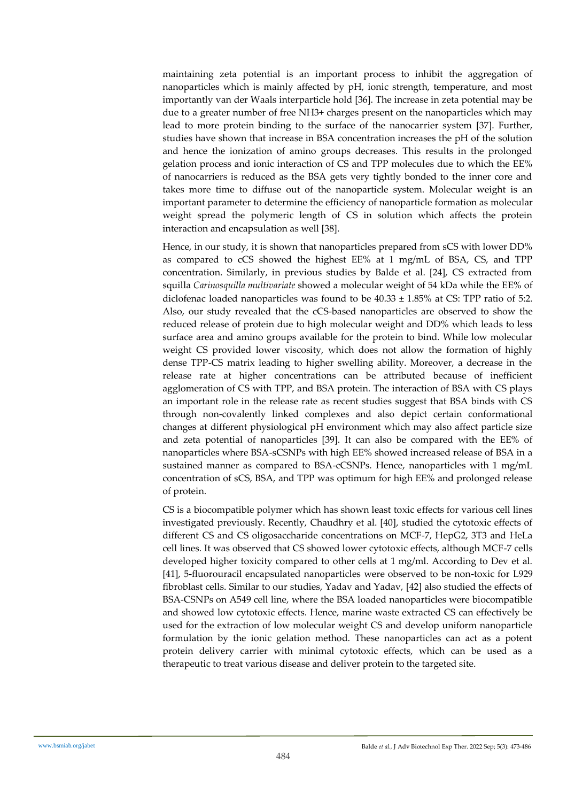maintaining zeta potential is an important process to inhibit the aggregation of nanoparticles which is mainly affected by pH, ionic strength, temperature, and most importantly van der Waals interparticle hold [36]. The increase in zeta potential may be due to a greater number of free NH3+ charges present on the nanoparticles which may lead to more protein binding to the surface of the nanocarrier system [37]. Further, studies have shown that increase in BSA concentration increases the pH of the solution and hence the ionization of amino groups decreases. This results in the prolonged gelation process and ionic interaction of CS and TPP molecules due to which the EE% of nanocarriers is reduced as the BSA gets very tightly bonded to the inner core and takes more time to diffuse out of the nanoparticle system. Molecular weight is an important parameter to determine the efficiency of nanoparticle formation as molecular weight spread the polymeric length of CS in solution which affects the protein interaction and encapsulation as well [38].

Hence, in our study, it is shown that nanoparticles prepared from sCS with lower DD% as compared to cCS showed the highest EE% at 1 mg/mL of BSA, CS, and TPP concentration. Similarly, in previous studies by Balde et al. [24], CS extracted from squilla *Carinosquilla multivariate* showed a molecular weight of 54 kDa while the EE% of diclofenac loaded nanoparticles was found to be  $40.33 \pm 1.85\%$  at CS: TPP ratio of 5:2. Also, our study revealed that the cCS-based nanoparticles are observed to show the reduced release of protein due to high molecular weight and DD% which leads to less surface area and amino groups available for the protein to bind. While low molecular weight CS provided lower viscosity, which does not allow the formation of highly dense TPP-CS matrix leading to higher swelling ability. Moreover, a decrease in the release rate at higher concentrations can be attributed because of inefficient agglomeration of CS with TPP, and BSA protein. The interaction of BSA with CS plays an important role in the release rate as recent studies suggest that BSA binds with CS through non-covalently linked complexes and also depict certain conformational changes at different physiological pH environment which may also affect particle size and zeta potential of nanoparticles [39]. It can also be compared with the EE% of nanoparticles where BSA-sCSNPs with high EE% showed increased release of BSA in a sustained manner as compared to BSA-cCSNPs. Hence, nanoparticles with 1 mg/mL concentration of sCS, BSA, and TPP was optimum for high EE% and prolonged release of protein.

CS is a biocompatible polymer which has shown least toxic effects for various cell lines investigated previously. Recently, Chaudhry et al. [40], studied the cytotoxic effects of different CS and CS oligosaccharide concentrations on MCF-7, HepG2, 3T3 and HeLa cell lines. It was observed that CS showed lower cytotoxic effects, although MCF-7 cells developed higher toxicity compared to other cells at 1 mg/ml. According to Dev et al. [41], 5-fluorouracil encapsulated nanoparticles were observed to be non-toxic for L929 fibroblast cells. Similar to our studies, Yadav and Yadav, [42] also studied the effects of BSA-CSNPs on A549 cell line, where the BSA loaded nanoparticles were biocompatible and showed low cytotoxic effects. Hence, marine waste extracted CS can effectively be used for the extraction of low molecular weight CS and develop uniform nanoparticle formulation by the ionic gelation method. These nanoparticles can act as a potent protein delivery carrier with minimal cytotoxic effects, which can be used as a therapeutic to treat various disease and deliver protein to the targeted site.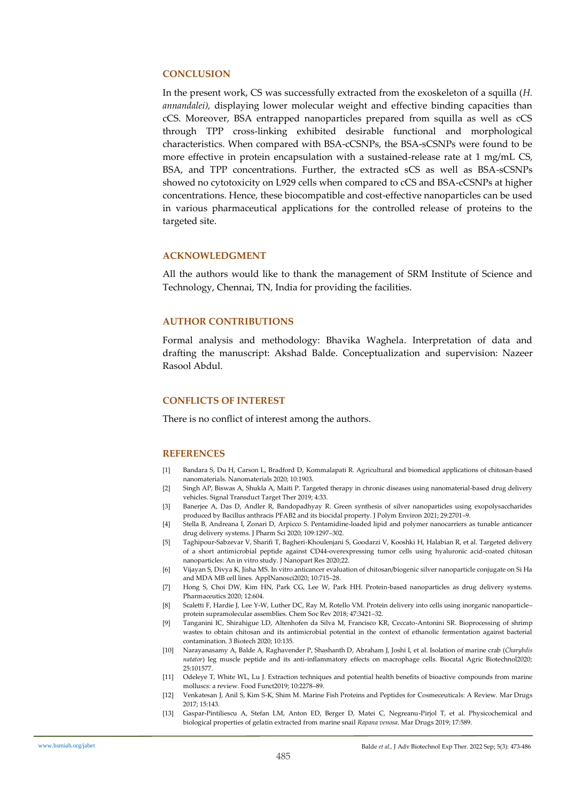#### **CONCLUSION**

In the present work, CS was successfully extracted from the exoskeleton of a squilla (*H. annandalei),* displaying lower molecular weight and effective binding capacities than cCS. Moreover, BSA entrapped nanoparticles prepared from squilla as well as cCS through TPP cross-linking exhibited desirable functional and morphological characteristics. When compared with BSA-cCSNPs, the BSA-sCSNPs were found to be more effective in protein encapsulation with a sustained-release rate at 1 mg/mL CS, BSA, and TPP concentrations. Further, the extracted sCS as well as BSA-sCSNPs showed no cytotoxicity on L929 cells when compared to cCS and BSA-cCSNPs at higher concentrations. Hence, these biocompatible and cost-effective nanoparticles can be used in various pharmaceutical applications for the controlled release of proteins to the targeted site.

#### **ACKNOWLEDGMENT**

All the authors would like to thank the management of SRM Institute of Science and Technology, Chennai, TN, India for providing the facilities.

#### **AUTHOR CONTRIBUTIONS**

Formal analysis and methodology: Bhavika Waghela. Interpretation of data and drafting the manuscript: Akshad Balde. Conceptualization and supervision: Nazeer Rasool Abdul.

## **CONFLICTS OF INTEREST**

There is no conflict of interest among the authors.

#### **REFERENCES**

- [1] Bandara S, Du H, Carson L, Bradford D, Kommalapati R. Agricultural and biomedical applications of chitosan-based nanomaterials. Nanomaterials 2020; 10:1903.
- [2] Singh AP, Biswas A, Shukla A, Maiti P. Targeted therapy in chronic diseases using nanomaterial-based drug delivery vehicles. Signal Transduct Target Ther 2019; 4:33.
- [3] Banerjee A, Das D, Andler R, Bandopadhyay R. Green synthesis of silver nanoparticles using exopolysaccharides produced by Bacillus anthracis PFAB2 and its biocidal property. J Polym Environ 2021; 29:2701–9.
- [4] Stella B, Andreana I, Zonari D, Arpicco S. Pentamidine-loaded lipid and polymer nanocarriers as tunable anticancer drug delivery systems. J Pharm Sci 2020; 109:1297–302.
- [5] Taghipour-Sabzevar V, Sharifi T, Bagheri-Khoulenjani S, Goodarzi V, Kooshki H, Halabian R, et al. Targeted delivery of a short antimicrobial peptide against CD44-overexpressing tumor cells using hyaluronic acid-coated chitosan nanoparticles: An in vitro study. J Nanopart Res 2020;22.
- [6] Vijayan S, Divya K, Jisha MS. In vitro anticancer evaluation of chitosan/biogenic silver nanoparticle conjugate on Si Ha and MDA MB cell lines. ApplNanosci2020; 10:715–28.
- [7] Hong S, Choi DW, Kim HN, Park CG, Lee W, Park HH. Protein-based nanoparticles as drug delivery systems. Pharmaceutics 2020; 12:604.
- [8] Scaletti F, Hardie J, Lee Y-W, Luther DC, Ray M, Rotello VM. Protein delivery into cells using inorganic nanoparticle– protein supramolecular assemblies. Chem Soc Rev 2018; 47:3421–32.
- [9] Tanganini IC, Shirahigue LD, Altenhofen da Silva M, Francisco KR, Ceccato-Antonini SR. Bioprocessing of shrimp wastes to obtain chitosan and its antimicrobial potential in the context of ethanolic fermentation against bacterial contamination. 3 Biotech 2020; 10:135.
- [10] Narayanasamy A, Balde A, Raghavender P, Shashanth D, Abraham J, Joshi I, et al. Isolation of marine crab (*Charybdis natator*) leg muscle peptide and its anti-inflammatory effects on macrophage cells. Biocatal Agric Biotechnol2020; 25:101577.
- [11] Odeleye T, White WL, Lu J. Extraction techniques and potential health benefits of bioactive compounds from marine molluscs: a review. Food Funct2019; 10:2278–89.
- [12] Venkatesan J, Anil S, Kim S-K, Shim M. Marine Fish Proteins and Peptides for Cosmeceuticals: A Review. Mar Drugs 2017; 15:143.
- [13] Gaspar-Pintiliescu A, Stefan LM, Anton ED, Berger D, Matei C, Negreanu-Pirjol T, et al. Physicochemical and biological properties of gelatin extracted from marine snail *Rapana venosa*. Mar Drugs 2019; 17:589.